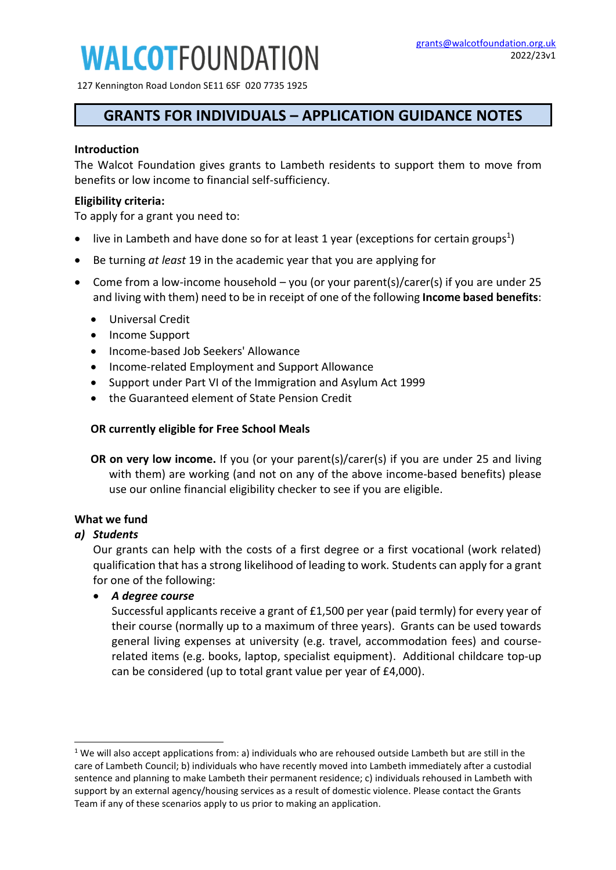# **WALCOTFOUNDATION**

127 Kennington Road London SE11 6SF 020 7735 1925

### **GRANTS FOR INDIVIDUALS – APPLICATION GUIDANCE NOTES**

#### **Introduction**

The Walcot Foundation gives grants to Lambeth residents to support them to move from benefits or low income to financial self-sufficiency.

#### **Eligibility criteria:**

To apply for a grant you need to:

- live in Lambeth and have done so for at least 1 year (exceptions for certain groups<sup>1</sup>)
- Be turning *at least* 19 in the academic year that you are applying for
- Come from a low-income household you (or your parent(s)/carer(s) if you are under 25 and living with them) need to be in receipt of one of the following **Income based benefits**:
	- Universal Credit
	- Income Support
	- Income-based Job Seekers' Allowance
	- Income-related Employment and Support Allowance
	- Support under Part VI of the Immigration and Asylum Act 1999
	- the Guaranteed element of State Pension Credit

#### **OR currently eligible for Free School Meals**

**OR on very low income.** If you (or your parent(s)/carer(s) if you are under 25 and living with them) are working (and not on any of the above income-based benefits) please use our [online financial eligibility checker](https://www.tfaforms.com/431379) to see if you are eligible.

#### **What we fund**

#### *a) Students*

 $\overline{a}$ 

Our grants can help with the costs of a first degree or a first vocational (work related) qualification that has a strong likelihood of leading to work. Students can apply for a grant for one of the following:

#### • *A degree course*

Successful applicants receive a grant of £1,500 per year (paid termly) for every year of their course (normally up to a maximum of three years). Grants can be used towards general living expenses at university (e.g. travel, accommodation fees) and courserelated items (e.g. books, laptop, specialist equipment). Additional childcare top-up can be considered (up to total grant value per year of £4,000).

 $1$  We will also accept applications from: a) individuals who are rehoused outside Lambeth but are still in the care of Lambeth Council; b) individuals who have recently moved into Lambeth immediately after a custodial sentence and planning to make Lambeth their permanent residence; c) individuals rehoused in Lambeth with support by an external agency/housing services as a result of domestic violence. Please contact the Grants Team if any of these scenarios apply to us prior to making an application.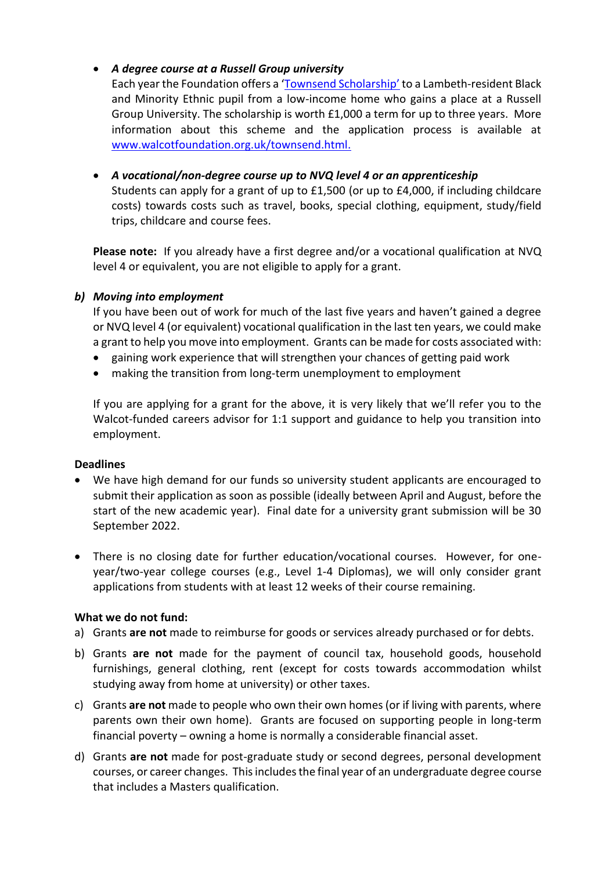#### • *A degree course at a Russell Group university*

Each year the Foundation offers a ['Townsend Scholarship'](http://www.walcotfoundation.org.uk/townsend.html) to a Lambeth-resident Black and Minority Ethnic pupil from a low-income home who gains a place at a Russell Group University. The scholarship is worth £1,000 a term for up to three years. More information about this scheme and the application process is available at [www.walcotfoundation.org.uk/townsend.html.](http://www.walcotfoundation.org.uk/townsend.html)

• *A vocational/non-degree course up to NVQ level 4 or an apprenticeship*  Students can apply for a grant of up to £1,500 (or up to £4,000, if including childcare costs) towards costs such as travel, books, special clothing, equipment, study/field trips, childcare and course fees.

**Please note:** If you already have a first degree and/or a vocational qualification at NVQ level 4 or equivalent, you are not eligible to apply for a grant.

#### *b) Moving into employment*

If you have been out of work for much of the last five years and haven't gained a degree or NVQ level 4 (or equivalent) vocational qualification in the last ten years, we could make a grant to help you move into employment. Grants can be made for costs associated with:

- gaining work experience that will strengthen your chances of getting paid work
- making the transition from long-term unemployment to employment

If you are applying for a grant for the above, it is very likely that we'll refer you to the Walcot-funded careers advisor for 1:1 support and guidance to help you transition into employment.

#### **Deadlines**

- We have high demand for our funds so university student applicants are encouraged to submit their application as soon as possible (ideally between April and August, before the start of the new academic year). Final date for a university grant submission will be 30 September 2022.
- There is no closing date for further education/vocational courses. However, for oneyear/two-year college courses (e.g., Level 1-4 Diplomas), we will only consider grant applications from students with at least 12 weeks of their course remaining.

#### **What we do not fund:**

- a) Grants **are not** made to reimburse for goods or services already purchased or for debts.
- b) Grants **are not** made for the payment of council tax, household goods, household furnishings, general clothing, rent (except for costs towards accommodation whilst studying away from home at university) or other taxes.
- c) Grants **are not** made to people who own their own homes (or if living with parents, where parents own their own home). Grants are focused on supporting people in long-term financial poverty – owning a home is normally a considerable financial asset.
- d) Grants **are not** made for post-graduate study or second degrees, personal development courses, or career changes. This includes the final year of an undergraduate degree course that includes a Masters qualification.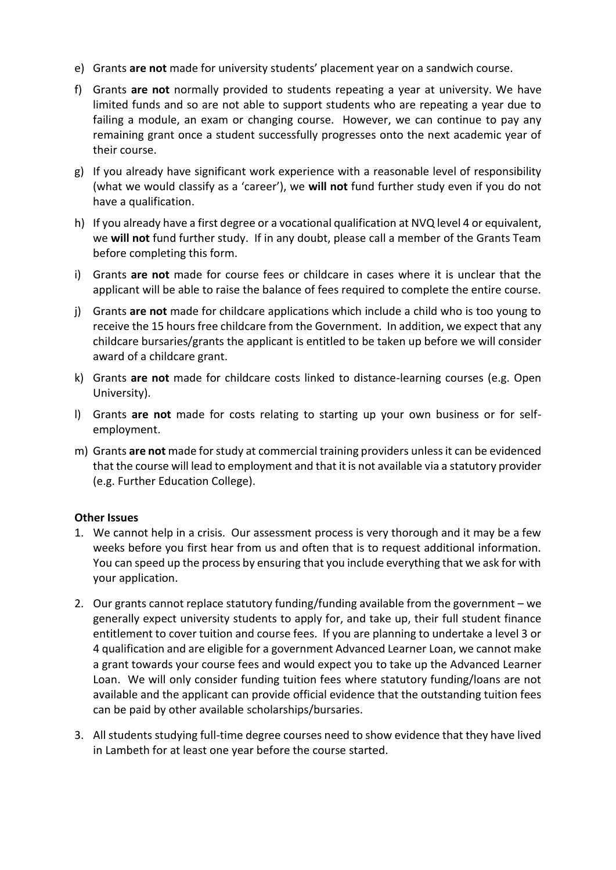- e) Grants **are not** made for university students' placement year on a sandwich course.
- f) Grants **are not** normally provided to students repeating a year at university. We have limited funds and so are not able to support students who are repeating a year due to failing a module, an exam or changing course. However, we can continue to pay any remaining grant once a student successfully progresses onto the next academic year of their course.
- g) If you already have significant work experience with a reasonable level of responsibility (what we would classify as a 'career'), we **will not** fund further study even if you do not have a qualification.
- h) If you already have a first degree or a vocational qualification at NVQ level 4 or equivalent, we **will not** fund further study. If in any doubt, please call a member of the Grants Team before completing this form.
- i) Grants **are not** made for course fees or childcare in cases where it is unclear that the applicant will be able to raise the balance of fees required to complete the entire course.
- j) Grants **are not** made for childcare applications which include a child who is too young to receive the 15 hours free childcare from the Government. In addition, we expect that any childcare bursaries/grants the applicant is entitled to be taken up before we will consider award of a childcare grant.
- k) Grants **are not** made for childcare costs linked to distance-learning courses (e.g. Open University).
- l) Grants **are not** made for costs relating to starting up your own business or for selfemployment.
- m) Grants **are not** made for study at commercial training providers unless it can be evidenced that the course will lead to employment and that it is not available via a statutory provider (e.g. Further Education College).

#### **Other Issues**

- 1. We cannot help in a crisis. Our assessment process is very thorough and it may be a few weeks before you first hear from us and often that is to request additional information. You can speed up the process by ensuring that you include everything that we ask for with your application.
- 2. Our grants cannot replace statutory funding/funding available from the government we generally expect university students to apply for, and take up, their full student finance entitlement to cover tuition and course fees. If you are planning to undertake a level 3 or 4 qualification and are eligible for a government Advanced Learner Loan, we cannot make a grant towards your course fees and would expect you to take up the Advanced Learner Loan. We will only consider funding tuition fees where statutory funding/loans are not available and the applicant can provide official evidence that the outstanding tuition fees can be paid by other available scholarships/bursaries.
- 3. All students studying full-time degree courses need to show evidence that they have lived in Lambeth for at least one year before the course started.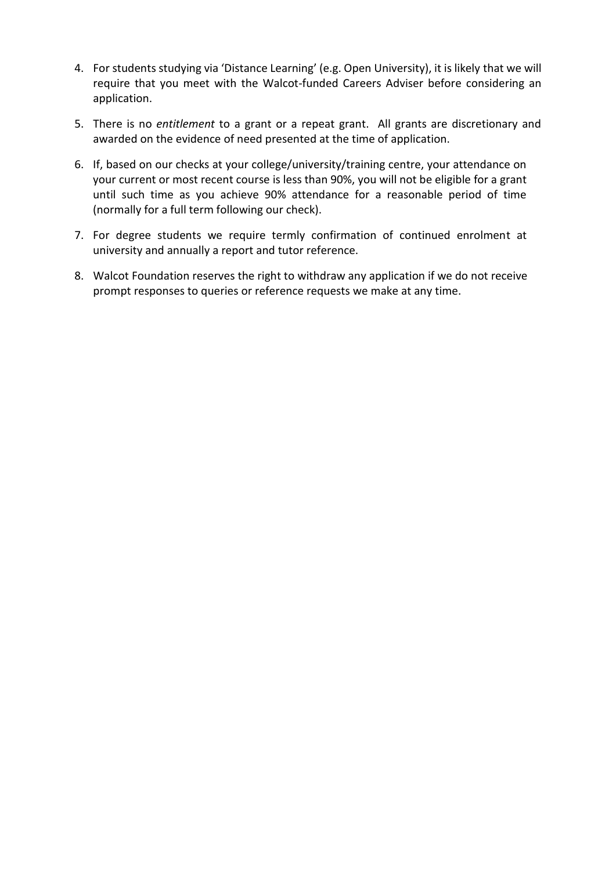- 4. For students studying via 'Distance Learning' (e.g. Open University), it is likely that we will require that you meet with the Walcot-funded Careers Adviser before considering an application.
- 5. There is no *entitlement* to a grant or a repeat grant. All grants are discretionary and awarded on the evidence of need presented at the time of application.
- 6. If, based on our checks at your college/university/training centre, your attendance on your current or most recent course is less than 90%, you will not be eligible for a grant until such time as you achieve 90% attendance for a reasonable period of time (normally for a full term following our check).
- 7. For degree students we require termly confirmation of continued enrolment at university and annually a report and tutor reference.
- 8. Walcot Foundation reserves the right to withdraw any application if we do not receive prompt responses to queries or reference requests we make at any time.